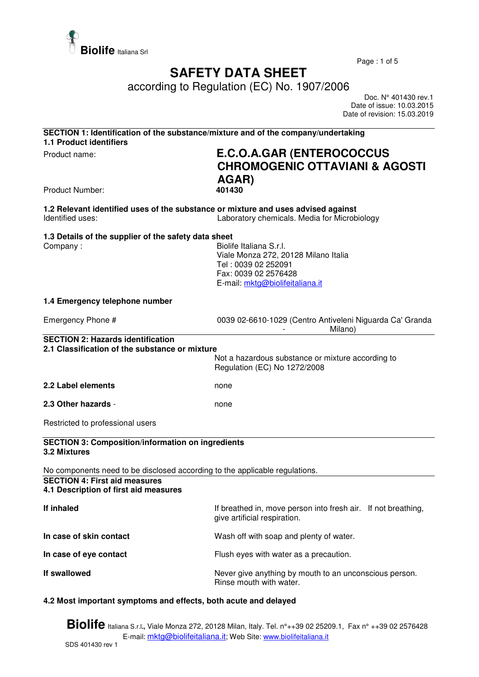

Page : 1 of 5

## **SAFETY DATA SHEET**

according to Regulation (EC) No. 1907/2006

 Doc. N° 401430 rev.1 Date of issue: 10.03.2015 Date of revision: 15.03.2019

| SECTION 1: Identification of the substance/mixture and of the company/undertaking<br>1.1 Product identifiers                                                 |                                                                                                                                                   |  |
|--------------------------------------------------------------------------------------------------------------------------------------------------------------|---------------------------------------------------------------------------------------------------------------------------------------------------|--|
| Product name:                                                                                                                                                | <b>E.C.O.A.GAR (ENTEROCOCCUS</b><br><b>CHROMOGENIC OTTAVIANI &amp; AGOSTI</b><br>AGAR)                                                            |  |
| <b>Product Number:</b>                                                                                                                                       | 401430                                                                                                                                            |  |
| 1.2 Relevant identified uses of the substance or mixture and uses advised against<br>Identified uses:                                                        | Laboratory chemicals. Media for Microbiology                                                                                                      |  |
| 1.3 Details of the supplier of the safety data sheet<br>Company:                                                                                             | Biolife Italiana S.r.l.<br>Viale Monza 272, 20128 Milano Italia<br>Tel: 0039 02 252091<br>Fax: 0039 02 2576428<br>E-mail: mktg@biolifeitaliana.it |  |
| 1.4 Emergency telephone number                                                                                                                               |                                                                                                                                                   |  |
| Emergency Phone #                                                                                                                                            | 0039 02-6610-1029 (Centro Antiveleni Niguarda Ca' Granda<br>Milano)                                                                               |  |
| <b>SECTION 2: Hazards identification</b><br>2.1 Classification of the substance or mixture                                                                   | Not a hazardous substance or mixture according to<br>Regulation (EC) No 1272/2008                                                                 |  |
| 2.2 Label elements                                                                                                                                           | none                                                                                                                                              |  |
| 2.3 Other hazards -                                                                                                                                          | none                                                                                                                                              |  |
| Restricted to professional users                                                                                                                             |                                                                                                                                                   |  |
| <b>SECTION 3: Composition/information on ingredients</b><br>3.2 Mixtures                                                                                     |                                                                                                                                                   |  |
| No components need to be disclosed according to the applicable regulations.<br><b>SECTION 4: First aid measures</b><br>4.1 Description of first aid measures |                                                                                                                                                   |  |
| If inhaled                                                                                                                                                   | If breathed in, move person into fresh air. If not breathing,<br>give artificial respiration.                                                     |  |
| In case of skin contact                                                                                                                                      | Wash off with soap and plenty of water.                                                                                                           |  |
| In case of eye contact                                                                                                                                       | Flush eyes with water as a precaution.                                                                                                            |  |
| If swallowed                                                                                                                                                 | Never give anything by mouth to an unconscious person.<br>Rinse mouth with water.                                                                 |  |

## **4.2 Most important symptoms and effects, both acute and delayed**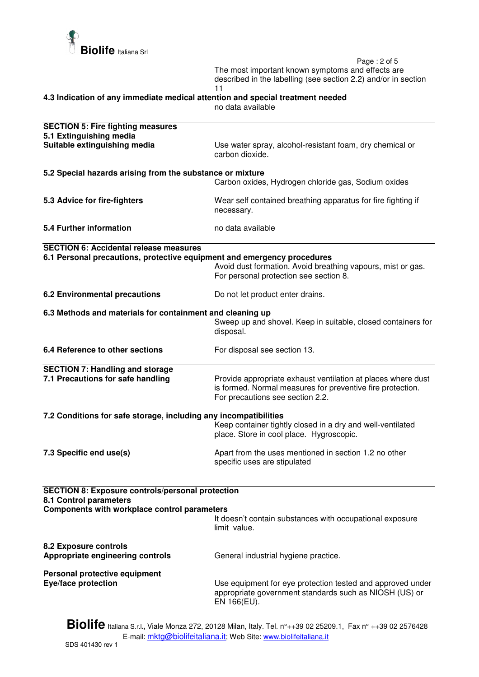

 Page : 2 of 5 The most important known symptoms and effects are described in the labelling (see section 2.2) and/or in section 11

**4.3 Indication of any immediate medical attention and special treatment needed** 

no data available

| <b>SECTION 5: Fire fighting measures</b><br>5.1 Extinguishing media                                                                      |                                                                                                                                                                |  |
|------------------------------------------------------------------------------------------------------------------------------------------|----------------------------------------------------------------------------------------------------------------------------------------------------------------|--|
| Suitable extinguishing media                                                                                                             | Use water spray, alcohol-resistant foam, dry chemical or<br>carbon dioxide.                                                                                    |  |
| 5.2 Special hazards arising from the substance or mixture                                                                                |                                                                                                                                                                |  |
|                                                                                                                                          | Carbon oxides, Hydrogen chloride gas, Sodium oxides                                                                                                            |  |
| 5.3 Advice for fire-fighters                                                                                                             | Wear self contained breathing apparatus for fire fighting if<br>necessary.                                                                                     |  |
| 5.4 Further information                                                                                                                  | no data available                                                                                                                                              |  |
| <b>SECTION 6: Accidental release measures</b>                                                                                            |                                                                                                                                                                |  |
| 6.1 Personal precautions, protective equipment and emergency procedures                                                                  | Avoid dust formation. Avoid breathing vapours, mist or gas.<br>For personal protection see section 8.                                                          |  |
| 6.2 Environmental precautions                                                                                                            | Do not let product enter drains.                                                                                                                               |  |
| 6.3 Methods and materials for containment and cleaning up                                                                                |                                                                                                                                                                |  |
|                                                                                                                                          | Sweep up and shovel. Keep in suitable, closed containers for<br>disposal.                                                                                      |  |
| 6.4 Reference to other sections                                                                                                          | For disposal see section 13.                                                                                                                                   |  |
| <b>SECTION 7: Handling and storage</b>                                                                                                   |                                                                                                                                                                |  |
| 7.1 Precautions for safe handling                                                                                                        | Provide appropriate exhaust ventilation at places where dust<br>is formed. Normal measures for preventive fire protection.<br>For precautions see section 2.2. |  |
| 7.2 Conditions for safe storage, including any incompatibilities                                                                         |                                                                                                                                                                |  |
|                                                                                                                                          | Keep container tightly closed in a dry and well-ventilated<br>place. Store in cool place. Hygroscopic.                                                         |  |
| 7.3 Specific end use(s)                                                                                                                  | Apart from the uses mentioned in section 1.2 no other<br>specific uses are stipulated                                                                          |  |
|                                                                                                                                          |                                                                                                                                                                |  |
| <b>SECTION 8: Exposure controls/personal protection</b><br>8.1 Control parameters<br><b>Components with workplace control parameters</b> |                                                                                                                                                                |  |
|                                                                                                                                          | It doesn't contain substances with occupational exposure<br>limit value.                                                                                       |  |
| 8.2 Exposure controls<br>Appropriate engineering controls                                                                                | General industrial hygiene practice.                                                                                                                           |  |
| Personal protective equipment                                                                                                            |                                                                                                                                                                |  |
| Eye/face protection                                                                                                                      | Use equipment for eye protection tested and approved under<br>appropriate government standards such as NIOSH (US) or<br>EN 166(EU).                            |  |
|                                                                                                                                          |                                                                                                                                                                |  |

**Biolife** Italiana S.r.l**.,** Viale Monza 272, 20128 Milan, Italy. Tel. n°++39 02 25209.1, Fax n° ++39 02 2576428 E-mail: mktg@biolifeitaliana.it; Web Site: www.biolifeitaliana.it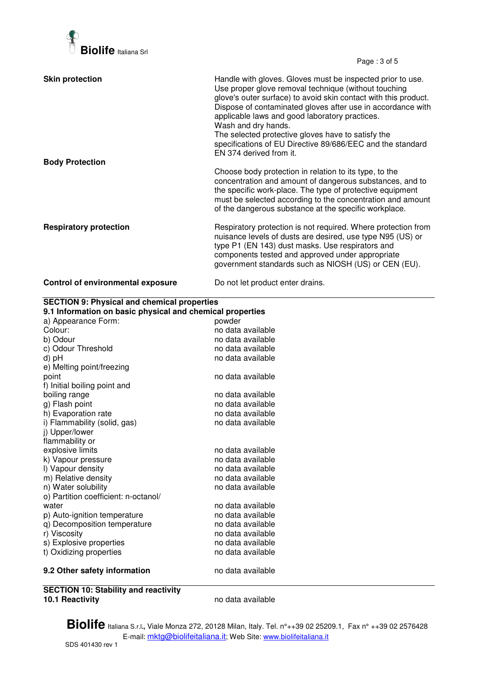

Page : 3 of 5

| <b>Skin protection</b>                   | Handle with gloves. Gloves must be inspected prior to use.<br>Use proper glove removal technique (without touching<br>glove's outer surface) to avoid skin contact with this product.<br>Dispose of contaminated gloves after use in accordance with<br>applicable laws and good laboratory practices.<br>Wash and dry hands.<br>The selected protective gloves have to satisfy the<br>specifications of EU Directive 89/686/EEC and the standard<br>EN 374 derived from it. |
|------------------------------------------|------------------------------------------------------------------------------------------------------------------------------------------------------------------------------------------------------------------------------------------------------------------------------------------------------------------------------------------------------------------------------------------------------------------------------------------------------------------------------|
| <b>Body Protection</b>                   | Choose body protection in relation to its type, to the<br>concentration and amount of dangerous substances, and to<br>the specific work-place. The type of protective equipment<br>must be selected according to the concentration and amount<br>of the dangerous substance at the specific workplace.                                                                                                                                                                       |
| <b>Respiratory protection</b>            | Respiratory protection is not required. Where protection from<br>nuisance levels of dusts are desired, use type N95 (US) or<br>type P1 (EN 143) dust masks. Use respirators and<br>components tested and approved under appropriate<br>government standards such as NIOSH (US) or CEN (EU).                                                                                                                                                                                  |
| <b>Control of environmental exposure</b> | Do not let product enter drains.                                                                                                                                                                                                                                                                                                                                                                                                                                             |

| a) Appearance Form:<br>powder<br>Colour:<br>no data available<br>b) Odour<br>no data available<br>c) Odour Threshold<br>no data available<br>no data available<br>d) pH<br>e) Melting point/freezing<br>no data available<br>point<br>f) Initial boiling point and<br>boiling range<br>no data available<br>g) Flash point<br>no data available<br>h) Evaporation rate<br>no data available<br>i) Flammability (solid, gas)<br>no data available<br>j) Upper/lower<br>flammability or<br>explosive limits<br>no data available<br>k) Vapour pressure<br>no data available<br>I) Vapour density<br>no data available<br>m) Relative density<br>no data available<br>n) Water solubility<br>no data available<br>o) Partition coefficient: n-octanol/<br>no data available<br>water<br>p) Auto-ignition temperature<br>no data available<br>q) Decomposition temperature<br>no data available<br>r) Viscosity<br>no data available<br>s) Explosive properties<br>no data available<br>t) Oxidizing properties<br>no data available | <b>SECTION 9: Physical and chemical properties</b><br>9.1 Information on basic physical and chemical properties |  |  |
|----------------------------------------------------------------------------------------------------------------------------------------------------------------------------------------------------------------------------------------------------------------------------------------------------------------------------------------------------------------------------------------------------------------------------------------------------------------------------------------------------------------------------------------------------------------------------------------------------------------------------------------------------------------------------------------------------------------------------------------------------------------------------------------------------------------------------------------------------------------------------------------------------------------------------------------------------------------------------------------------------------------------------------|-----------------------------------------------------------------------------------------------------------------|--|--|
|                                                                                                                                                                                                                                                                                                                                                                                                                                                                                                                                                                                                                                                                                                                                                                                                                                                                                                                                                                                                                                  |                                                                                                                 |  |  |
|                                                                                                                                                                                                                                                                                                                                                                                                                                                                                                                                                                                                                                                                                                                                                                                                                                                                                                                                                                                                                                  |                                                                                                                 |  |  |
|                                                                                                                                                                                                                                                                                                                                                                                                                                                                                                                                                                                                                                                                                                                                                                                                                                                                                                                                                                                                                                  |                                                                                                                 |  |  |
|                                                                                                                                                                                                                                                                                                                                                                                                                                                                                                                                                                                                                                                                                                                                                                                                                                                                                                                                                                                                                                  |                                                                                                                 |  |  |
|                                                                                                                                                                                                                                                                                                                                                                                                                                                                                                                                                                                                                                                                                                                                                                                                                                                                                                                                                                                                                                  |                                                                                                                 |  |  |
|                                                                                                                                                                                                                                                                                                                                                                                                                                                                                                                                                                                                                                                                                                                                                                                                                                                                                                                                                                                                                                  |                                                                                                                 |  |  |
|                                                                                                                                                                                                                                                                                                                                                                                                                                                                                                                                                                                                                                                                                                                                                                                                                                                                                                                                                                                                                                  |                                                                                                                 |  |  |
|                                                                                                                                                                                                                                                                                                                                                                                                                                                                                                                                                                                                                                                                                                                                                                                                                                                                                                                                                                                                                                  |                                                                                                                 |  |  |
|                                                                                                                                                                                                                                                                                                                                                                                                                                                                                                                                                                                                                                                                                                                                                                                                                                                                                                                                                                                                                                  |                                                                                                                 |  |  |
|                                                                                                                                                                                                                                                                                                                                                                                                                                                                                                                                                                                                                                                                                                                                                                                                                                                                                                                                                                                                                                  |                                                                                                                 |  |  |
|                                                                                                                                                                                                                                                                                                                                                                                                                                                                                                                                                                                                                                                                                                                                                                                                                                                                                                                                                                                                                                  |                                                                                                                 |  |  |
|                                                                                                                                                                                                                                                                                                                                                                                                                                                                                                                                                                                                                                                                                                                                                                                                                                                                                                                                                                                                                                  |                                                                                                                 |  |  |
|                                                                                                                                                                                                                                                                                                                                                                                                                                                                                                                                                                                                                                                                                                                                                                                                                                                                                                                                                                                                                                  |                                                                                                                 |  |  |
|                                                                                                                                                                                                                                                                                                                                                                                                                                                                                                                                                                                                                                                                                                                                                                                                                                                                                                                                                                                                                                  |                                                                                                                 |  |  |
|                                                                                                                                                                                                                                                                                                                                                                                                                                                                                                                                                                                                                                                                                                                                                                                                                                                                                                                                                                                                                                  |                                                                                                                 |  |  |
|                                                                                                                                                                                                                                                                                                                                                                                                                                                                                                                                                                                                                                                                                                                                                                                                                                                                                                                                                                                                                                  |                                                                                                                 |  |  |
|                                                                                                                                                                                                                                                                                                                                                                                                                                                                                                                                                                                                                                                                                                                                                                                                                                                                                                                                                                                                                                  |                                                                                                                 |  |  |
|                                                                                                                                                                                                                                                                                                                                                                                                                                                                                                                                                                                                                                                                                                                                                                                                                                                                                                                                                                                                                                  |                                                                                                                 |  |  |
|                                                                                                                                                                                                                                                                                                                                                                                                                                                                                                                                                                                                                                                                                                                                                                                                                                                                                                                                                                                                                                  |                                                                                                                 |  |  |
|                                                                                                                                                                                                                                                                                                                                                                                                                                                                                                                                                                                                                                                                                                                                                                                                                                                                                                                                                                                                                                  |                                                                                                                 |  |  |
|                                                                                                                                                                                                                                                                                                                                                                                                                                                                                                                                                                                                                                                                                                                                                                                                                                                                                                                                                                                                                                  |                                                                                                                 |  |  |
|                                                                                                                                                                                                                                                                                                                                                                                                                                                                                                                                                                                                                                                                                                                                                                                                                                                                                                                                                                                                                                  |                                                                                                                 |  |  |
|                                                                                                                                                                                                                                                                                                                                                                                                                                                                                                                                                                                                                                                                                                                                                                                                                                                                                                                                                                                                                                  |                                                                                                                 |  |  |
|                                                                                                                                                                                                                                                                                                                                                                                                                                                                                                                                                                                                                                                                                                                                                                                                                                                                                                                                                                                                                                  |                                                                                                                 |  |  |
|                                                                                                                                                                                                                                                                                                                                                                                                                                                                                                                                                                                                                                                                                                                                                                                                                                                                                                                                                                                                                                  |                                                                                                                 |  |  |
|                                                                                                                                                                                                                                                                                                                                                                                                                                                                                                                                                                                                                                                                                                                                                                                                                                                                                                                                                                                                                                  |                                                                                                                 |  |  |
| no data available<br>9.2 Other safety information                                                                                                                                                                                                                                                                                                                                                                                                                                                                                                                                                                                                                                                                                                                                                                                                                                                                                                                                                                                |                                                                                                                 |  |  |

**SECTION 10: Stability and reactivity** 

**10.1 Reactivity** no data available

**Biolife** Italiana S.r.l**.,** Viale Monza 272, 20128 Milan, Italy. Tel. n°++39 02 25209.1, Fax n° ++39 02 2576428 E-mail: mktg@biolifeitaliana.it; Web Site: www.biolifeitaliana.it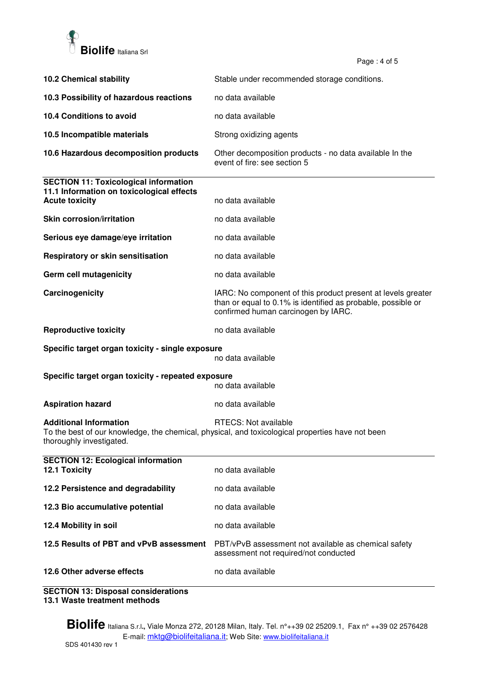

Page: 4 of 5

|                                                                                                                    | ι αγ <del>ο</del> . <del>τ</del> υι υ                                                                                                                               |  |
|--------------------------------------------------------------------------------------------------------------------|---------------------------------------------------------------------------------------------------------------------------------------------------------------------|--|
| <b>10.2 Chemical stability</b>                                                                                     | Stable under recommended storage conditions.                                                                                                                        |  |
| 10.3 Possibility of hazardous reactions                                                                            | no data available                                                                                                                                                   |  |
| 10.4 Conditions to avoid                                                                                           | no data available                                                                                                                                                   |  |
| 10.5 Incompatible materials                                                                                        | Strong oxidizing agents                                                                                                                                             |  |
| 10.6 Hazardous decomposition products                                                                              | Other decomposition products - no data available In the<br>event of fire: see section 5                                                                             |  |
| <b>SECTION 11: Toxicological information</b><br>11.1 Information on toxicological effects<br><b>Acute toxicity</b> | no data available                                                                                                                                                   |  |
| <b>Skin corrosion/irritation</b>                                                                                   | no data available                                                                                                                                                   |  |
| Serious eye damage/eye irritation                                                                                  | no data available                                                                                                                                                   |  |
| Respiratory or skin sensitisation                                                                                  | no data available                                                                                                                                                   |  |
| Germ cell mutagenicity                                                                                             | no data available                                                                                                                                                   |  |
| Carcinogenicity                                                                                                    | IARC: No component of this product present at levels greater<br>than or equal to 0.1% is identified as probable, possible or<br>confirmed human carcinogen by IARC. |  |
| <b>Reproductive toxicity</b>                                                                                       | no data available                                                                                                                                                   |  |
| Specific target organ toxicity - single exposure<br>no data available                                              |                                                                                                                                                                     |  |
| Specific target organ toxicity - repeated exposure<br>no data available                                            |                                                                                                                                                                     |  |
| <b>Aspiration hazard</b>                                                                                           | no data available                                                                                                                                                   |  |
| <b>Additional Information</b><br>thoroughly investigated.                                                          | RTECS: Not available<br>To the best of our knowledge, the chemical, physical, and toxicological properties have not been                                            |  |
| <b>SECTION 12: Ecological information</b><br>12.1 Toxicity                                                         | no data available                                                                                                                                                   |  |
| 12.2 Persistence and degradability                                                                                 | no data available                                                                                                                                                   |  |
| 12.3 Bio accumulative potential                                                                                    | no data available                                                                                                                                                   |  |
| 12.4 Mobility in soil                                                                                              | no data available                                                                                                                                                   |  |
| 12.5 Results of PBT and vPvB assessment                                                                            | PBT/vPvB assessment not available as chemical safety<br>assessment not required/not conducted                                                                       |  |
| 12.6 Other adverse effects                                                                                         | no data available                                                                                                                                                   |  |

**SECTION 13: Disposal considerations 13.1 Waste treatment methods**